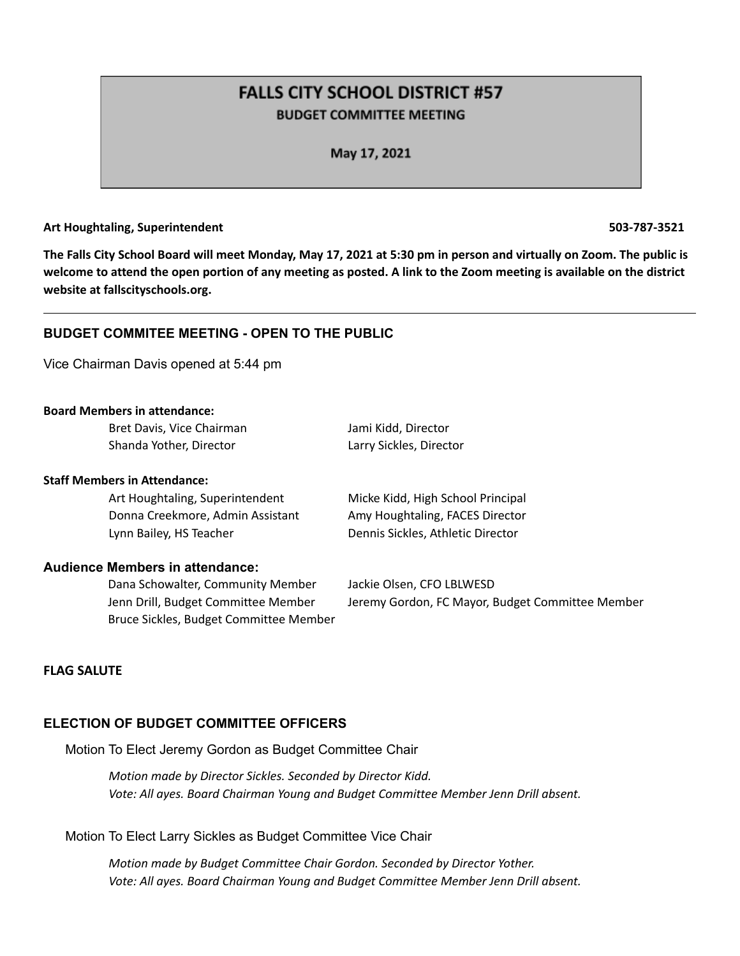# **FALLS CITY SCHOOL DISTRICT #57 BUDGET COMMITTEE MEETING**

May 17, 2021

### **Art Houghtaling, Superintendent 503-787-3521**

The Falls City School Board will meet Monday, May 17, 2021 at 5:30 pm in person and virtually on Zoom. The public is welcome to attend the open portion of any meeting as posted. A link to the Zoom meeting is available on the district **website at fallscityschools.org.**

### **BUDGET COMMITEE MEETING - OPEN TO THE PUBLIC**

Vice Chairman Davis opened at 5:44 pm

### **Board Members in attendance:**

Bret Davis, Vice Chairman Jami Kidd, Director Shanda Yother, Director Larry Sickles, Director

### **Staff Members in Attendance:**

Donna Creekmore, Admin Assistant Amy Houghtaling, FACES Director Lynn Bailey, HS Teacher **Dennis Sickles, Athletic Director** 

### **Audience Members in attendance:**

Dana Schowalter, Community Member Jackie Olsen, CFO LBLWESD Bruce Sickles, Budget Committee Member

Art Houghtaling, Superintendent Micke Kidd, High School Principal

Jenn Drill, Budget Committee Member Jeremy Gordon, FC Mayor, Budget Committee Member

### **FLAG SALUTE**

# **ELECTION OF BUDGET COMMITTEE OFFICERS**

Motion To Elect Jeremy Gordon as Budget Committee Chair

*Motion made by Director Sickles. Seconded by Director Kidd. Vote: All ayes. Board Chairman Young and Budget Committee Member Jenn Drill absent.*

Motion To Elect Larry Sickles as Budget Committee Vice Chair

*Motion made by Budget Committee Chair Gordon. Seconded by Director Yother. Vote: All ayes. Board Chairman Young and Budget Committee Member Jenn Drill absent.*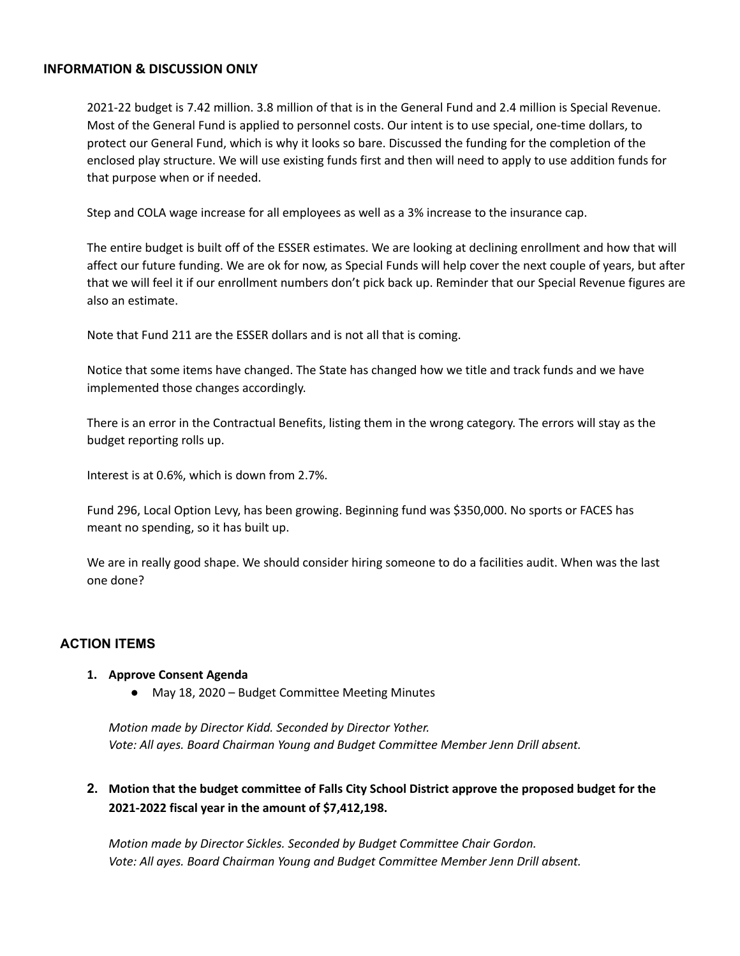### **INFORMATION & DISCUSSION ONLY**

2021-22 budget is 7.42 million. 3.8 million of that is in the General Fund and 2.4 million is Special Revenue. Most of the General Fund is applied to personnel costs. Our intent is to use special, one-time dollars, to protect our General Fund, which is why it looks so bare. Discussed the funding for the completion of the enclosed play structure. We will use existing funds first and then will need to apply to use addition funds for that purpose when or if needed.

Step and COLA wage increase for all employees as well as a 3% increase to the insurance cap.

The entire budget is built off of the ESSER estimates. We are looking at declining enrollment and how that will affect our future funding. We are ok for now, as Special Funds will help cover the next couple of years, but after that we will feel it if our enrollment numbers don't pick back up. Reminder that our Special Revenue figures are also an estimate.

Note that Fund 211 are the ESSER dollars and is not all that is coming.

Notice that some items have changed. The State has changed how we title and track funds and we have implemented those changes accordingly.

There is an error in the Contractual Benefits, listing them in the wrong category. The errors will stay as the budget reporting rolls up.

Interest is at 0.6%, which is down from 2.7%.

Fund 296, Local Option Levy, has been growing. Beginning fund was \$350,000. No sports or FACES has meant no spending, so it has built up.

We are in really good shape. We should consider hiring someone to do a facilities audit. When was the last one done?

### **ACTION ITEMS**

### **1. Approve Consent Agenda**

● May 18, 2020 – Budget Committee Meeting Minutes

*Motion made by Director Kidd. Seconded by Director Yother. Vote: All ayes. Board Chairman Young and Budget Committee Member Jenn Drill absent.*

# **2. Motion that the budget committee of Falls City School District approve the proposed budget for the 2021-2022 fiscal year in the amount of \$7,412,198.**

*Motion made by Director Sickles. Seconded by Budget Committee Chair Gordon. Vote: All ayes. Board Chairman Young and Budget Committee Member Jenn Drill absent.*